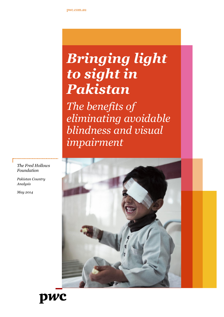# *Bringing light to sight in Pakistan*

*The benefits of eliminating avoidable blindness and visual impairment*



*The Fred Hollows Foundation*

*Pakistan Country Analysis*

*May 2014*

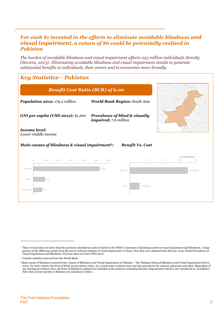## *For each \$1 invested in the efforts to eliminate avoidable blindness and visual impairment, a return of \$6 could be potentially realised in Pakistan*

*The burden of avoidable blindness and visual impairment affects 223 million individuals directly (Stevens, 2013)1. Eliminating avoidable blindness and visual impairment stands to generate substantial benefits to individuals, their carers and to economies more broadly.*

## *Key Statistics<sup>2</sup> - Pakistan*



<sup>&</sup>lt;sup>1</sup> These revised data are lower than the previous calculations and are based on the WHO's estimates of declining trends in visual impairment and blindness. A large portion of the difference stems from the newer reduced estimate of visual impairment in China. New data were attained from Stevens, 2013, Global Prevalence of<br>Visual Impairment and Blindness. Previous data was from WHO 201

<sup>2</sup> Country statistics sourced from the World Bank.

<sup>3</sup> Main causes of blindness sourced from: Causes of Blindness and Visual Impairment in Pakistan – The Pakistan National Blindness and Visual Impairment Survey 2004. For each country the level of detail on prevalence varies. As a result some countries may not have prevalence for cataract, glaucoma and other. Regardless of any missing prevalence rates, all forms of blindness outlined are included in the analysis (excluding Macular Degeneration which is not considered as 'avoidable'). Note that sources specific to Pakistan are included in Table 2.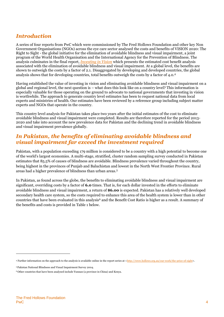## *Introduction*

A series of four reports from PwC which were commissioned by The Fred Hollows Foundation and other key Non Government Organisations (NGOs) across the eye care sector analysed the costs and benefits of VISION 2020: The Right to Sight - the global initiative for the elimination of avoidable blindness and visual impairment, a joint program of the World Health Organisation and the International Agency for the Prevention of Blindness. The analysis culminates in the final report, *[Investing in Vision](http://www.hollows.org.au/our-work/the-price-of-sight)* which presents the estimated cost benefit analysis associated with the elimination of avoidable blindness and visual impairment. At a global level, the benefits are shown to outweigh the costs by a factor of 2.1. Disaggregated by developing and developed countries, the global analysis shows that for developing countries, total benefits outweigh the costs by a factor of 4.0. 4

Having established the value of investing in vision and eliminating avoidable blindness and visual impairment on a global and regional level, the next question is – what does this look like on a country level? This information is especially valuable for those operating on the ground to advocate to national governments that investing in vision is worthwhile. The approach to generate country level estimates has been to request national data from local experts and ministries of health. Our estimates have been reviewed by a reference group including subject matter experts and NGOs that operate in the country.

This country level analysis for Pakistan takes place two years after the initial estimates of the cost to eliminate avoidable blindness and visual impairment were completed. Results are therefore reported for the period 2013- 2020 and take into account the new prevalence data for Pakistan and the declining trend in avoidable blindness and visual impairment prevalence globally.

## *In Pakistan, the benefits of eliminating avoidable blindness and visual impairment far exceed the investment required*

Pakistan, with a population exceeding 179 million is considered to be a country with a high potential to become one of the world's largest economies. A multi-stage, stratified, cluster random sampling survey conducted in Pakistan estimates that 85.5% of causes of blindness are avoidable. Blindness prevalence varied throughout the country, being highest in the provinces of Punjab and Baluchistan and lowest in the North West Frontier Province. Rural areas had a higher prevalence of blindness than urban areas.<sup>5</sup>

In Pakistan, as found across the globe, the benefits to eliminating avoidable blindness and visual impairment are significant, overriding costs by a factor of **6.0** times. That is, for each dollar invested in the efforts to eliminate avoidable blindness and visual impairment, a return of **\$6.00** is expected. Pakistan has a relatively well developed secondary health care system, so the costs required to enhance this area of the health system is lower than in other countries that have been evaluated in this analysis<sup>6</sup> and the Benefit Cost Ratio is higher as a result. A summary of the benefits and costs is provided in [Table](#page-4-0) 1 below.

<sup>4</sup> Further information on the approach to the analysis is available online in the report series at [<http://www.hollows.org.au/our-work/the-price-of-sight>](http://www.hollows.org.au/our-work/the-price-of-sight).

<sup>5</sup> Pakistan National Blindness and Visual Impairment Survey 2004.

<sup>6</sup> Other countries that have been analysed include Yunnan (a province in China) and Kenya.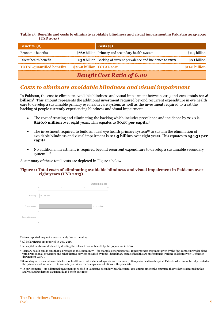<span id="page-4-0"></span>**Table 1 7 : Benefits and costs to eliminate avoidable blindness and visual impairment in Pakistan 2013-2020 (USD 2013)**

| <b>Benefits</b> (\$)             |                           | $\text{Costs}(\text{\$})$                                         |                 |
|----------------------------------|---------------------------|-------------------------------------------------------------------|-----------------|
| Economic benefits                |                           | \$66.2 billion Primary and secondary health system                | $$11.5$ billion |
| Direct health benefit            |                           | \$3.8 billion Backlog of current prevalence and incidence to 2020 | \$0.1 billion   |
| <b>TOTAL quantified benefits</b> | \$70.0 billion TOTAL cost |                                                                   | \$11.6 billion  |
|                                  |                           | <b>Benefit Cost Ratio of 6.00</b>                                 |                 |

## *Costs to eliminate avoidable blindness and visual impairment*

In Pakistan, the cost to eliminate avoidable blindness and visual impairment between 2013 and 2020 totals **\$11.6 billion**<sup>8</sup>. This amount represents the additional investment required beyond recurrent expenditure in eye health care to develop a sustainable primary eye health care system, as well as the investment required to treat the backlog of people currently experiencing blindness and visual impairment.

- The cost of treating and eliminating the backlog which includes prevalence and incidence by 2020 is **\$120.0 million** over eight years. This equates to \$**0.57 per capita**. **9**
- The investment required to build an ideal eye health primary system<sup>10</sup> to sustain the elimination of avoidable blindness and visual impairment is **\$11.5 billion** over eight years. This equates to \$**54.31 per capita**.
- No additional investment is required beyond recurrent expenditure to develop a sustainable secondary system. 1112

A summary of these total costs are depicted in [Figure 1](#page-4-1) below.

#### <span id="page-4-1"></span>**Figure 1: Total costs of eliminating avoidable blindness and visual impairment in Pakistan over eight years (USD 2013)**



<sup>7</sup>Values reported may not sum accurately due to rounding.

<sup>8</sup> All dollar figures are reported in USD 2013.

<sup>9</sup> Per capital has been calculated by dividing the relevant cost or benefit by the population in 2010.

<sup>10</sup> Primary health care is care that is provided in the community – for example general practice. It incorporates treatment given by the first contact provider along with promotional, preventive and rehabilitative services provided by multi-disciplinary teams of health care professionals working collaboratively (Definition drawn from WHO).

<sup>&</sup>lt;sup>11</sup> Secondary care is an intermediate level of health care that includes diagnosis and treatment, often performed in a hospital. Patients who cannot be fully treated at the primary level are referred to secondary services, for example consultations with specialists.

<sup>&</sup>lt;sup>12</sup> In our estimates – no additional investment is needed in Pakistan's secondary health system. It is unique among the countries that we have examined in this analysis and underpins Pakistan's high benefit cost ratio.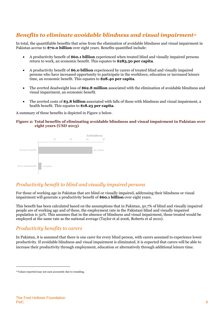# *Benefits to eliminate avoidable blindness and visual impairment<sup>13</sup>*

In total, the quantifiable benefits that arise from the elimination of avoidable blindness and visual impairment in Pakistan accrue to **\$70.0 billion** over eight years. Benefits quantified include:

- A productivity benefit of **\$60.1 billion** experienced when treated blind and visually impaired persons return to work, an economic benefit. This equates to **\$283.50 per capita**.
- A productivity benefit of **\$6.0 billion** experienced by carers of treated blind and visually impaired persons who have increased opportunity to participate in the workforce, education or increased leisure time, an economic benefit. This equates to **\$28.40 per capita**.
- The averted deadweight loss of **\$62.8 million** associated with the elimination of avoidable blindness and visual impairment, an economic benefit.
- The averted costs of **\$3.8 billion** associated with falls of those with blindness and visual impairment, a health benefit. This equates to **\$18.23 per capita**.

A summary of these benefits is depicted in [Figure 2](#page-5-0) below.

#### <span id="page-5-0"></span>**Figure 2: Total benefits of eliminating avoidable blindness and visual impairment in Pakistan over eight years (USD 2013)**



## *Productivity benefit to blind and visually impaired persons*

For those of working age in Pakistan that are blind or visually impaired, addressing their blindness or visual impairment will generate a productivity benefit of **\$60.1 billion** over eight years.

This benefit has been calculated based on the assumptions that in Pakistan, 50.7% of blind and visually impaired people are of working age and of these, the employment rate in the Pakistani blind and visually impaired population is 32%. This assumes that in the absence of blindness and visual impairment, those treated would be employed at the same rate as the national average (Taylor et al 2006, Roberts et al 2010).

## *Productivity benefits to carers*

In Pakistan, it is assumed that there is one carer for every blind person, with carers assumed to experience lower productivity. If avoidable blindness and visual impairment is eliminated, it is expected that carers will be able to increase their productivity through employment, education or alternatively through additional leisure time.

<sup>13</sup>Values reported may not sum accurately due to rounding.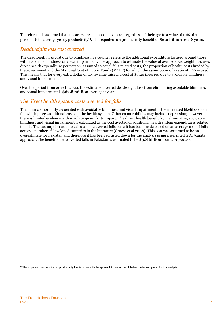Therefore, it is assumed that all carers are at a productive loss, regardless of their age to a value of 10% of a person's total average yearly productivity<sup>14</sup>. This equates to a productivity benefit of **\$6.0 billion** over 8 years.

## *Deadweight loss cost averted*

The deadweight loss cost due to blindness in a country refers to the additional expenditure focused around those with avoidable blindness or visual impairment. The approach to estimate the value of averted deadweight loss uses direct health expenditure per person, assumed to equal falls related costs, the proportion of health costs funded by the government and the Marginal Cost of Public Funds (MCPF) for which the assumption of a ratio of 1.20 is used. This means that for every extra dollar of tax revenue raised, a cost of \$0.20 incurred due to avoidable blindness and visual impairment.

Over the period from 2013 to 2020, the estimated averted deadweight loss from eliminating avoidable blindness and visual impairment is **\$62.8 million** over eight years.

### *The direct health system costs averted for falls*

The main co morbidity associated with avoidable blindness and visual impairment is the increased likelihood of a fall which places additional costs on the health system. Other co morbidities may include depression; however there is limited evidence with which to quantify its impact. The direct health benefit from eliminating avoidable blindness and visual impairment is calculated as the cost averted of additional health system expenditures related to falls. The assumption used to calculate the averted falls benefit has been made based on an average cost of falls across a number of developed countries in the literature (Cruess et al 2008). This cost was assumed to be an overestimate for Pakistan and therefore it has been adjusted down for the analysis using a weighted GDP/capita approach. The benefit due to averted falls in Pakistan is estimated to be **\$3.8 billion** from 2013-2020.

<sup>14</sup> The 10 per cent assumption for productivity loss is in line with the approach taken for the global estimates completed for this analysis.